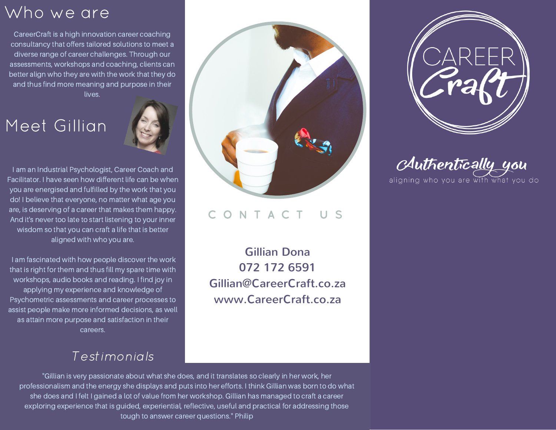# Who we are

CareerCraft is a high innovation career coaching consultancy that offers tailored solutions to meet a diverse range of career challenges. Through our assessments, workshops and coaching, clients can better align who they are with the work that they do and thus find more meaning and purpose in their lives.

# Meet Gillian



I am an Industrial Psychologist, Career Coach and Facilitator. I have seen how different life can be when you are energised and fulfilled by the work that you do! I believe that everyone, no matter what age you are, is deserving of a career that makes them happy. And it's never too late to start listening to your inner wisdom so that you can craft a life that is better aligned with who you are.

I am fascinated with how people discover the work that is right for them and thus fill my spare time with workshops, audio books and reading. I find joy in applying my experience and knowledge of Psychometric assessments and career processes to assist people make more informed decisions, as well as attain more purpose and satisfaction in their careers.

### C O N T A C T U S

Gillian Dona 072 172 6591 Gillian@CareerCraft.co.za www.CareerCraft.co.za



Authentically you aligning who you are with what you do

#### Testimonials

"Gillian is very passionate about what she does, and it translates so clearly in her work, her professionalism and the energy she displays and puts into her efforts. I think Gillian was born to do what she does and I felt I gained a lot of value from her workshop. Gillian has managed to craft a career exploring experience that is guided, experiential, reflective, useful and practical for addressing those tough to answer career questions." Philip